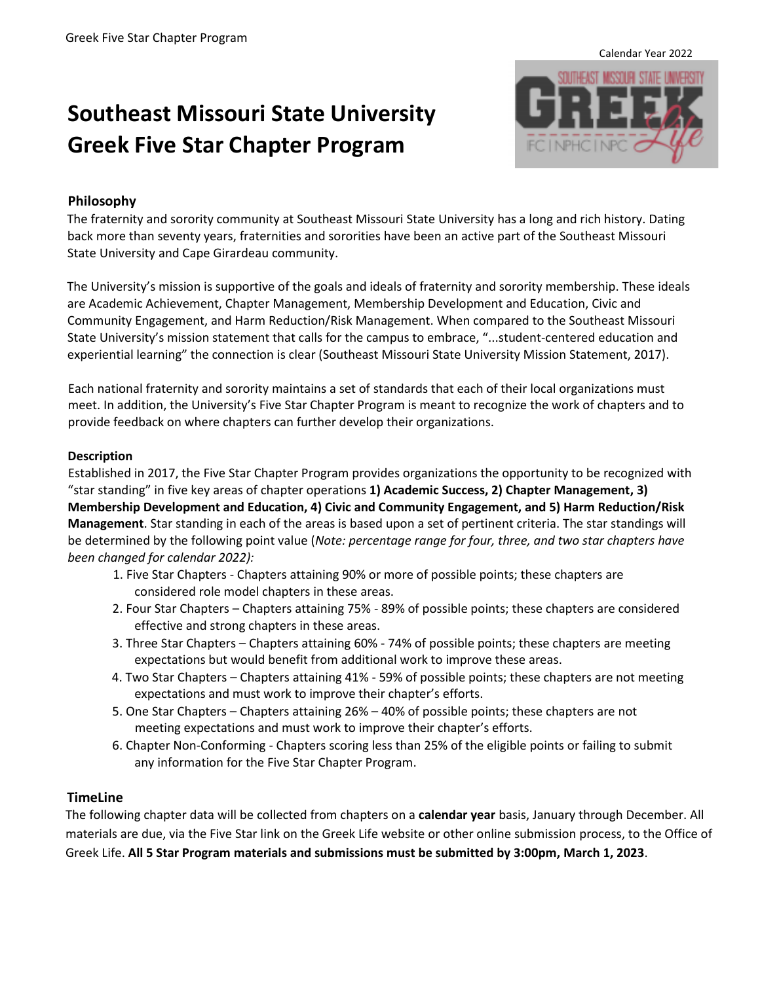# **Southeast Missouri State University Greek Five Star Chapter Program**



# **Philosophy**

The fraternity and sorority community at Southeast Missouri State University has a long and rich history. Dating back more than seventy years, fraternities and sororities have been an active part of the Southeast Missouri State University and Cape Girardeau community.

The University's mission is supportive of the goals and ideals of fraternity and sorority membership. These ideals are Academic Achievement, Chapter Management, Membership Development and Education, Civic and Community Engagement, and Harm Reduction/Risk Management. When compared to the Southeast Missouri State University's mission statement that calls for the campus to embrace, "...student‐centered education and experiential learning" the connection is clear (Southeast Missouri State University Mission Statement, 2017).

Each national fraternity and sorority maintains a set of standards that each of their local organizations must meet. In addition, the University's Five Star Chapter Program is meant to recognize the work of chapters and to provide feedback on where chapters can further develop their organizations.

#### **Description**

Established in 2017, the Five Star Chapter Program provides organizations the opportunity to be recognized with "star standing" in five key areas of chapter operations **1) Academic Success, 2) Chapter Management, 3) Membership Development and Education, 4) Civic and Community Engagement, and 5) Harm Reduction/Risk Management**. Star standing in each of the areas is based upon a set of pertinent criteria. The star standings will be determined by the following point value (*Note: percentage range for four, three, and two star chapters have been changed for calendar 2022):*

- 1. Five Star Chapters Chapters attaining 90% or more of possible points; these chapters are considered role model chapters in these areas.
- 2. Four Star Chapters Chapters attaining 75% 89% of possible points; these chapters are considered effective and strong chapters in these areas.
- 3. Three Star Chapters Chapters attaining 60% 74% of possible points; these chapters are meeting expectations but would benefit from additional work to improve these areas.
- 4. Two Star Chapters Chapters attaining 41% 59% of possible points; these chapters are not meeting expectations and must work to improve their chapter's efforts.
- 5. One Star Chapters Chapters attaining 26% 40% of possible points; these chapters are not meeting expectations and must work to improve their chapter's efforts.
- 6. Chapter Non-Conforming Chapters scoring less than 25% of the eligible points or failing to submit any information for the Five Star Chapter Program.

## **TimeLine**

The following chapter data will be collected from chapters on a **calendar year** basis, January through December. All materials are due, via the Five Star link on the Greek Life website or other online submission process, to the Office of Greek Life. **All 5 Star Program materials and submissions must be submitted by 3:00pm, March 1, 2023**.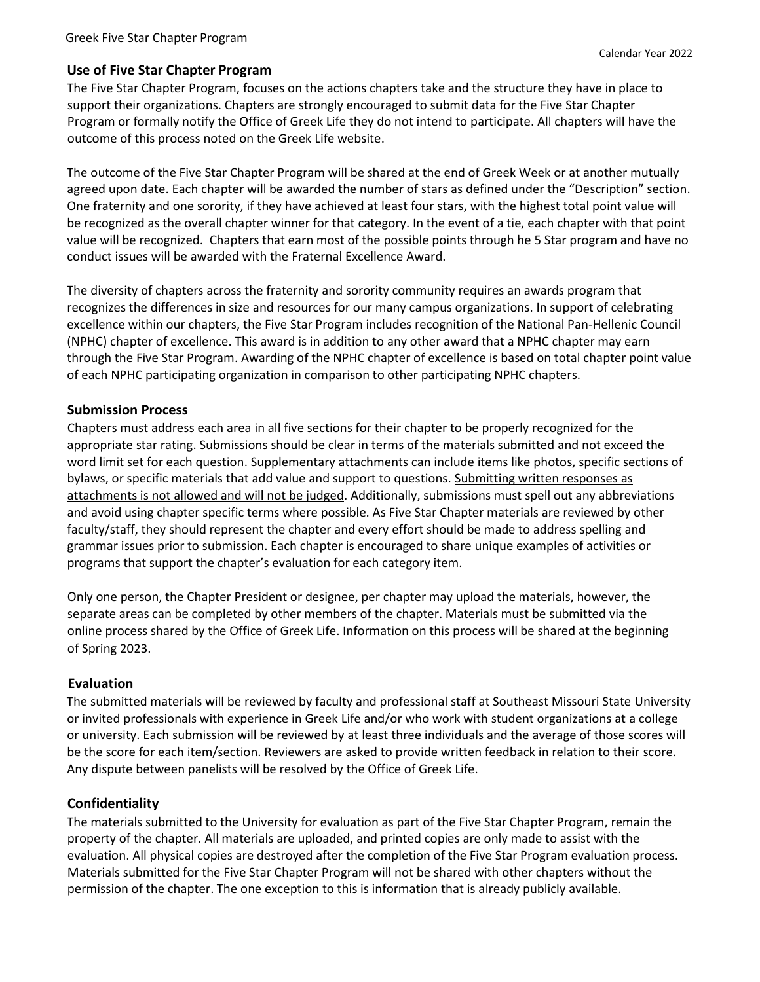## **Use of Five Star Chapter Program**

The Five Star Chapter Program, focuses on the actions chapters take and the structure they have in place to support their organizations. Chapters are strongly encouraged to submit data for the Five Star Chapter Program or formally notify the Office of Greek Life they do not intend to participate. All chapters will have the outcome of this process noted on the Greek Life website.

The outcome of the Five Star Chapter Program will be shared at the end of Greek Week or at another mutually agreed upon date. Each chapter will be awarded the number of stars as defined under the "Description" section. One fraternity and one sorority, if they have achieved at least four stars, with the highest total point value will be recognized as the overall chapter winner for that category. In the event of a tie, each chapter with that point value will be recognized. Chapters that earn most of the possible points through he 5 Star program and have no conduct issues will be awarded with the Fraternal Excellence Award.

The diversity of chapters across the fraternity and sorority community requires an awards program that recognizes the differences in size and resources for our many campus organizations. In support of celebrating excellence within our chapters, the Five Star Program includes recognition of the National Pan-Hellenic Council (NPHC) chapter of excellence. This award is in addition to any other award that a NPHC chapter may earn through the Five Star Program. Awarding of the NPHC chapter of excellence is based on total chapter point value of each NPHC participating organization in comparison to other participating NPHC chapters.

#### **Submission Process**

Chapters must address each area in all five sections for their chapter to be properly recognized for the appropriate star rating. Submissions should be clear in terms of the materials submitted and not exceed the word limit set for each question. Supplementary attachments can include items like photos, specific sections of bylaws, or specific materials that add value and support to questions. Submitting written responses as attachments is not allowed and will not be judged. Additionally, submissions must spell out any abbreviations and avoid using chapter specific terms where possible. As Five Star Chapter materials are reviewed by other faculty/staff, they should represent the chapter and every effort should be made to address spelling and grammar issues prior to submission. Each chapter is encouraged to share unique examples of activities or programs that support the chapter's evaluation for each category item.

Only one person, the Chapter President or designee, per chapter may upload the materials, however, the separate areas can be completed by other members of the chapter. Materials must be submitted via the online process shared by the Office of Greek Life. Information on this process will be shared at the beginning of Spring 2023.

## **Evaluation**

The submitted materials will be reviewed by faculty and professional staff at Southeast Missouri State University or invited professionals with experience in Greek Life and/or who work with student organizations at a college or university. Each submission will be reviewed by at least three individuals and the average of those scores will be the score for each item/section. Reviewers are asked to provide written feedback in relation to their score. Any dispute between panelists will be resolved by the Office of Greek Life.

## **Confidentiality**

The materials submitted to the University for evaluation as part of the Five Star Chapter Program, remain the property of the chapter. All materials are uploaded, and printed copies are only made to assist with the evaluation. All physical copies are destroyed after the completion of the Five Star Program evaluation process. Materials submitted for the Five Star Chapter Program will not be shared with other chapters without the permission of the chapter. The one exception to this is information that is already publicly available.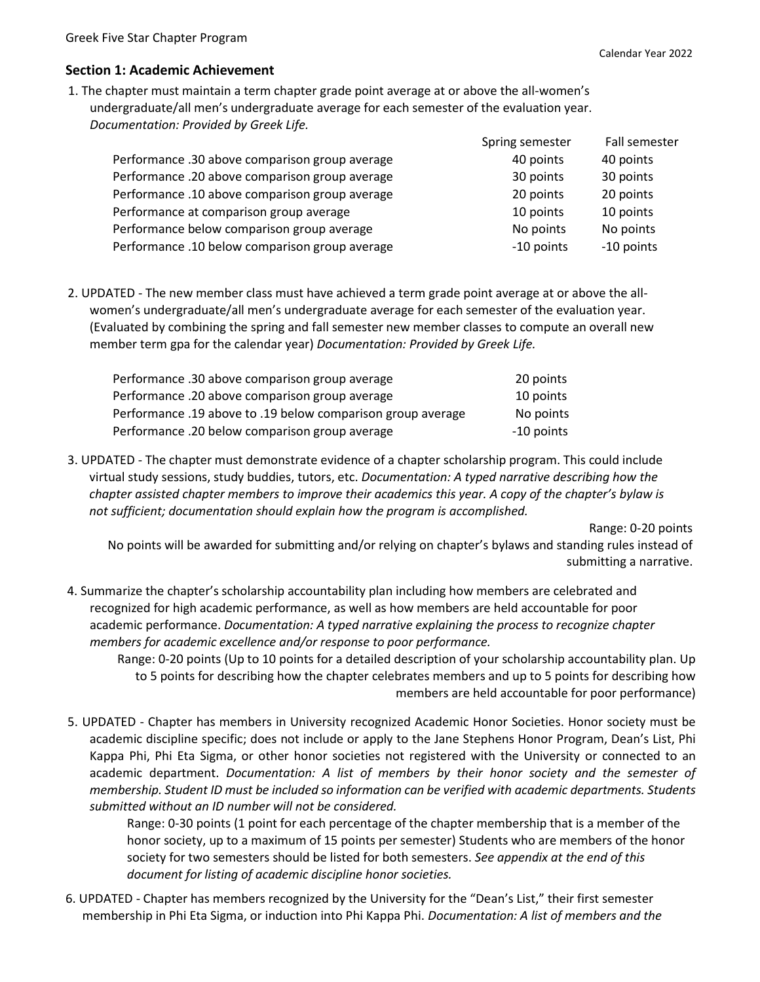#### **Section 1: Academic Achievement**

1. The chapter must maintain a term chapter grade point average at or above the all-women's undergraduate/all men's undergraduate average for each semester of the evaluation year. *Documentation: Provided by Greek Life.* 

|                                                | Spring semester | Fall semester |
|------------------------------------------------|-----------------|---------------|
| Performance .30 above comparison group average | 40 points       | 40 points     |
| Performance .20 above comparison group average | 30 points       | 30 points     |
| Performance .10 above comparison group average | 20 points       | 20 points     |
| Performance at comparison group average        | 10 points       | 10 points     |
| Performance below comparison group average     | No points       | No points     |
| Performance .10 below comparison group average | -10 points      | -10 points    |

2. UPDATED - The new member class must have achieved a term grade point average at or above the allwomen's undergraduate/all men's undergraduate average for each semester of the evaluation year. (Evaluated by combining the spring and fall semester new member classes to compute an overall new member term gpa for the calendar year) *Documentation: Provided by Greek Life.* 

| Performance .30 above comparison group average              | 20 points  |
|-------------------------------------------------------------|------------|
| Performance .20 above comparison group average              | 10 points  |
| Performance .19 above to .19 below comparison group average | No points  |
| Performance .20 below comparison group average              | -10 points |

3. UPDATED - The chapter must demonstrate evidence of a chapter scholarship program. This could include virtual study sessions, study buddies, tutors, etc. *Documentation: A typed narrative describing how the chapter assisted chapter members to improve their academics this year. A copy of the chapter's bylaw is not sufficient; documentation should explain how the program is accomplished.* 

Range: 0-20 points

No points will be awarded for submitting and/or relying on chapter's bylaws and standing rules instead of submitting a narrative.

4. Summarize the chapter's scholarship accountability plan including how members are celebrated and recognized for high academic performance, as well as how members are held accountable for poor academic performance. *Documentation: A typed narrative explaining the process to recognize chapter members for academic excellence and/or response to poor performance.* 

Range: 0-20 points (Up to 10 points for a detailed description of your scholarship accountability plan. Up to 5 points for describing how the chapter celebrates members and up to 5 points for describing how members are held accountable for poor performance)

5. UPDATED - Chapter has members in University recognized Academic Honor Societies. Honor society must be academic discipline specific; does not include or apply to the Jane Stephens Honor Program, Dean's List, Phi Kappa Phi, Phi Eta Sigma, or other honor societies not registered with the University or connected to an academic department. *Documentation: A list of members by their honor society and the semester of membership. Student ID must be included so information can be verified with academic departments. Students submitted without an ID number will not be considered.* 

Range: 0-30 points (1 point for each percentage of the chapter membership that is a member of the honor society, up to a maximum of 15 points per semester) Students who are members of the honor society for two semesters should be listed for both semesters. *See appendix at the end of this document for listing of academic discipline honor societies.* 

6. UPDATED - Chapter has members recognized by the University for the "Dean's List," their first semester membership in Phi Eta Sigma, or induction into Phi Kappa Phi. *Documentation: A list of members and the*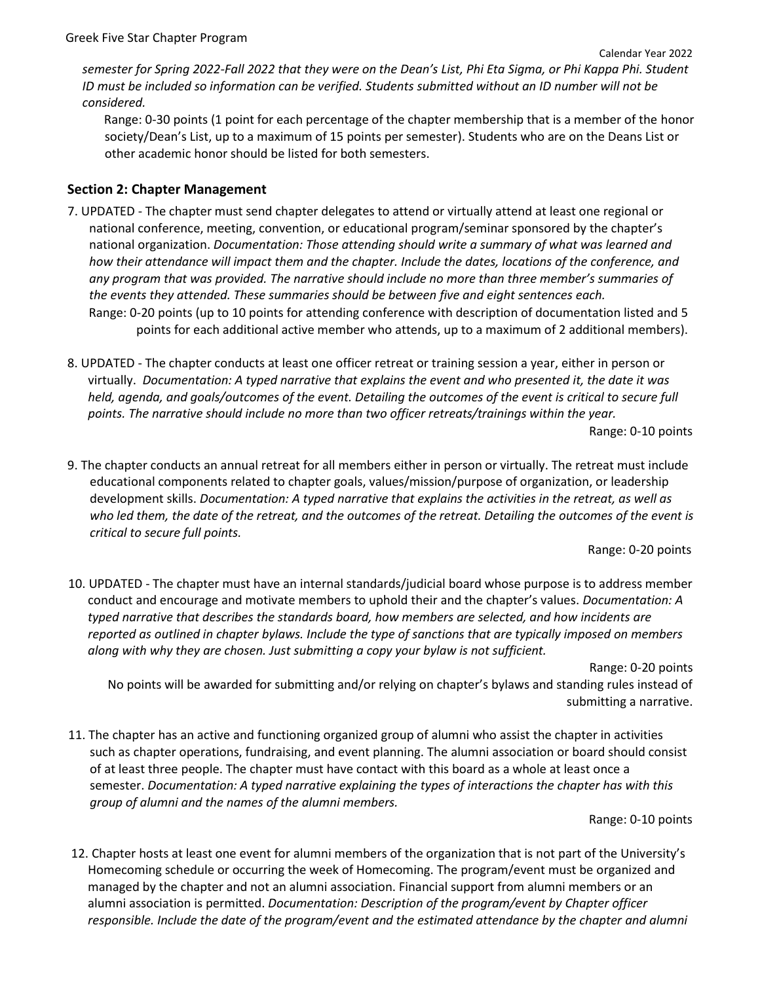*semester for Spring 2022-Fall 2022 that they were on the Dean's List, Phi Eta Sigma, or Phi Kappa Phi. Student ID must be included so information can be verified. Students submitted without an ID number will not be considered.* 

Range: 0-30 points (1 point for each percentage of the chapter membership that is a member of the honor society/Dean's List, up to a maximum of 15 points per semester). Students who are on the Deans List or other academic honor should be listed for both semesters.

#### **Section 2: Chapter Management**

- 7. UPDATED The chapter must send chapter delegates to attend or virtually attend at least one regional or national conference, meeting, convention, or educational program/seminar sponsored by the chapter's national organization. *Documentation: Those attending should write a summary of what was learned and how their attendance will impact them and the chapter. Include the dates, locations of the conference, and any program that was provided. The narrative should include no more than three member's summaries of the events they attended. These summaries should be between five and eight sentences each.* Range: 0-20 points (up to 10 points for attending conference with description of documentation listed and 5 points for each additional active member who attends, up to a maximum of 2 additional members).
- 8. UPDATED The chapter conducts at least one officer retreat or training session a year, either in person or virtually. *Documentation: A typed narrative that explains the event and who presented it, the date it was held, agenda, and goals/outcomes of the event. Detailing the outcomes of the event is critical to secure full points. The narrative should include no more than two officer retreats/trainings within the year.*

Range: 0-10 points

9. The chapter conducts an annual retreat for all members either in person or virtually. The retreat must include educational components related to chapter goals, values/mission/purpose of organization, or leadership development skills. *Documentation: A typed narrative that explains the activities in the retreat, as well as who led them, the date of the retreat, and the outcomes of the retreat. Detailing the outcomes of the event is critical to secure full points.* 

Range: 0-20 points

10. UPDATED - The chapter must have an internal standards/judicial board whose purpose is to address member conduct and encourage and motivate members to uphold their and the chapter's values. *Documentation: A typed narrative that describes the standards board, how members are selected, and how incidents are reported as outlined in chapter bylaws. Include the type of sanctions that are typically imposed on members along with why they are chosen. Just submitting a copy your bylaw is not sufficient.* 

Range: 0-20 points

No points will be awarded for submitting and/or relying on chapter's bylaws and standing rules instead of submitting a narrative.

11. The chapter has an active and functioning organized group of alumni who assist the chapter in activities such as chapter operations, fundraising, and event planning. The alumni association or board should consist of at least three people. The chapter must have contact with this board as a whole at least once a semester. *Documentation: A typed narrative explaining the types of interactions the chapter has with this group of alumni and the names of the alumni members.*

Range: 0-10 points

12. Chapter hosts at least one event for alumni members of the organization that is not part of the University's Homecoming schedule or occurring the week of Homecoming. The program/event must be organized and managed by the chapter and not an alumni association. Financial support from alumni members or an alumni association is permitted. *Documentation: Description of the program/event by Chapter officer responsible. Include the date of the program/event and the estimated attendance by the chapter and alumni*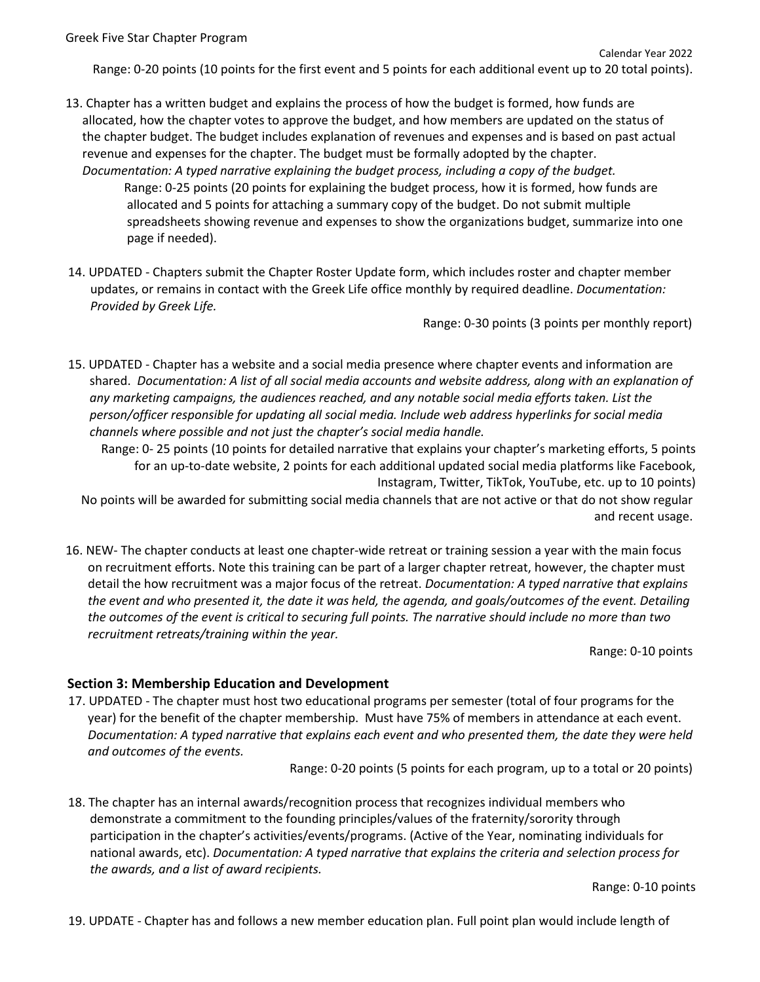Range: 0-20 points (10 points for the first event and 5 points for each additional event up to 20 total points).

- 13. Chapter has a written budget and explains the process of how the budget is formed, how funds are allocated, how the chapter votes to approve the budget, and how members are updated on the status of the chapter budget. The budget includes explanation of revenues and expenses and is based on past actual revenue and expenses for the chapter. The budget must be formally adopted by the chapter. *Documentation: A typed narrative explaining the budget process, including a copy of the budget.*  Range: 0-25 points (20 points for explaining the budget process, how it is formed, how funds are allocated and 5 points for attaching a summary copy of the budget. Do not submit multiple spreadsheets showing revenue and expenses to show the organizations budget, summarize into one page if needed).
- 14. UPDATED Chapters submit the Chapter Roster Update form, which includes roster and chapter member updates, or remains in contact with the Greek Life office monthly by required deadline. *Documentation: Provided by Greek Life.*

Range: 0-30 points (3 points per monthly report)

15. UPDATED - Chapter has a website and a social media presence where chapter events and information are shared. *Documentation: A list of all social media accounts and website address, along with an explanation of any marketing campaigns, the audiences reached, and any notable social media efforts taken. List the person/officer responsible for updating all social media. Include web address hyperlinks for social media channels where possible and not just the chapter's social media handle.* 

Range: 0- 25 points (10 points for detailed narrative that explains your chapter's marketing efforts, 5 points for an up-to-date website, 2 points for each additional updated social media platforms like Facebook, Instagram, Twitter, TikTok, YouTube, etc. up to 10 points)

No points will be awarded for submitting social media channels that are not active or that do not show regular and recent usage.

16. NEW- The chapter conducts at least one chapter-wide retreat or training session a year with the main focus on recruitment efforts. Note this training can be part of a larger chapter retreat, however, the chapter must detail the how recruitment was a major focus of the retreat. *Documentation: A typed narrative that explains the event and who presented it, the date it was held, the agenda, and goals/outcomes of the event. Detailing the outcomes of the event is critical to securing full points. The narrative should include no more than two recruitment retreats/training within the year.*

Range: 0-10 points

## **Section 3: Membership Education and Development**

17. UPDATED - The chapter must host two educational programs per semester (total of four programs for the year) for the benefit of the chapter membership. Must have 75% of members in attendance at each event. *Documentation: A typed narrative that explains each event and who presented them, the date they were held and outcomes of the events.* 

Range: 0-20 points (5 points for each program, up to a total or 20 points)

18. The chapter has an internal awards/recognition process that recognizes individual members who demonstrate a commitment to the founding principles/values of the fraternity/sorority through participation in the chapter's activities/events/programs. (Active of the Year, nominating individuals for national awards, etc). *Documentation: A typed narrative that explains the criteria and selection process for the awards, and a list of award recipients.* 

Range: 0-10 points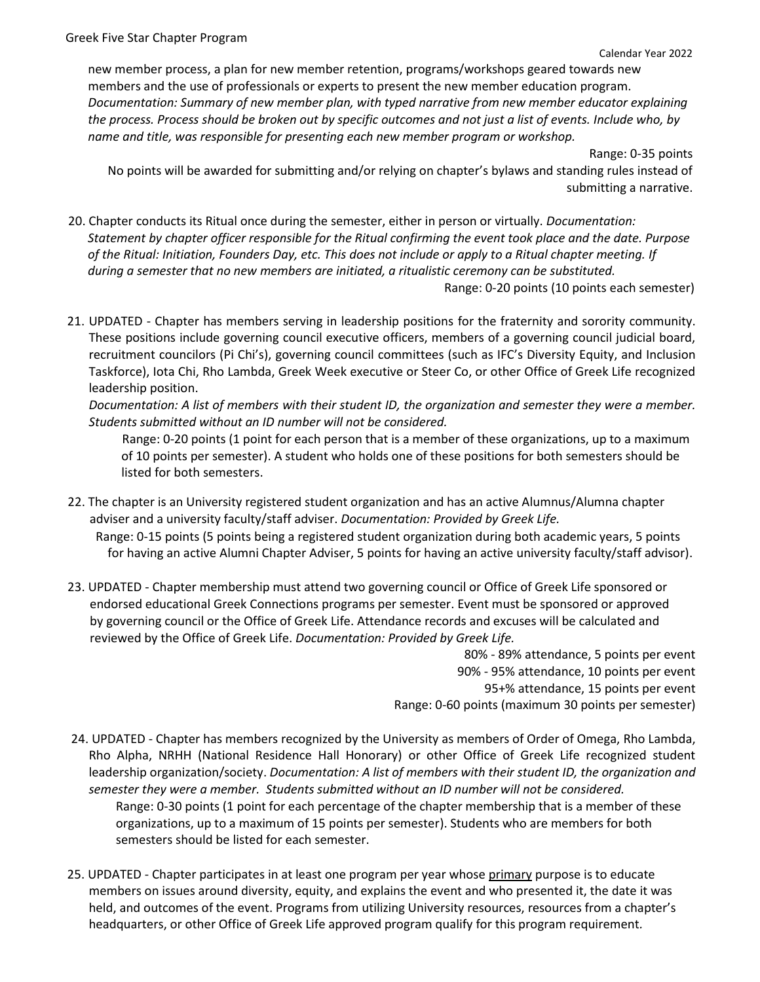new member process, a plan for new member retention, programs/workshops geared towards new members and the use of professionals or experts to present the new member education program. *Documentation: Summary of new member plan, with typed narrative from new member educator explaining the process. Process should be broken out by specific outcomes and not just a list of events. Include who, by name and title, was responsible for presenting each new member program or workshop.* 

Range: 0-35 points

No points will be awarded for submitting and/or relying on chapter's bylaws and standing rules instead of submitting a narrative.

- 20. Chapter conducts its Ritual once during the semester, either in person or virtually. *Documentation: Statement by chapter officer responsible for the Ritual confirming the event took place and the date. Purpose of the Ritual: Initiation, Founders Day, etc. This does not include or apply to a Ritual chapter meeting. If during a semester that no new members are initiated, a ritualistic ceremony can be substituted.* Range: 0-20 points (10 points each semester)
- 21. UPDATED Chapter has members serving in leadership positions for the fraternity and sorority community. These positions include governing council executive officers, members of a governing council judicial board, recruitment councilors (Pi Chi's), governing council committees (such as IFC's Diversity Equity, and Inclusion Taskforce), Iota Chi, Rho Lambda, Greek Week executive or Steer Co, or other Office of Greek Life recognized leadership position.

*Documentation: A list of members with their student ID, the organization and semester they were a member. Students submitted without an ID number will not be considered.* 

Range: 0-20 points (1 point for each person that is a member of these organizations, up to a maximum of 10 points per semester). A student who holds one of these positions for both semesters should be listed for both semesters.

- 22. The chapter is an University registered student organization and has an active Alumnus/Alumna chapter adviser and a university faculty/staff adviser. *Documentation: Provided by Greek Life.* Range: 0-15 points (5 points being a registered student organization during both academic years, 5 points for having an active Alumni Chapter Adviser, 5 points for having an active university faculty/staff advisor).
- 23. UPDATED Chapter membership must attend two governing council or Office of Greek Life sponsored or endorsed educational Greek Connections programs per semester. Event must be sponsored or approved by governing council or the Office of Greek Life. Attendance records and excuses will be calculated and reviewed by the Office of Greek Life. *Documentation: Provided by Greek Life.*

80% - 89% attendance, 5 points per event 90% - 95% attendance, 10 points per event 95+% attendance, 15 points per event Range: 0-60 points (maximum 30 points per semester)

- 24. UPDATED Chapter has members recognized by the University as members of Order of Omega, Rho Lambda, Rho Alpha, NRHH (National Residence Hall Honorary) or other Office of Greek Life recognized student leadership organization/society. *Documentation: A list of members with their student ID, the organization and semester they were a member. Students submitted without an ID number will not be considered.*  Range: 0-30 points (1 point for each percentage of the chapter membership that is a member of these organizations, up to a maximum of 15 points per semester). Students who are members for both semesters should be listed for each semester.
- 25. UPDATED Chapter participates in at least one program per year whose primary purpose is to educate members on issues around diversity, equity, and explains the event and who presented it, the date it was held, and outcomes of the event. Programs from utilizing University resources, resources from a chapter's headquarters, or other Office of Greek Life approved program qualify for this program requirement*.*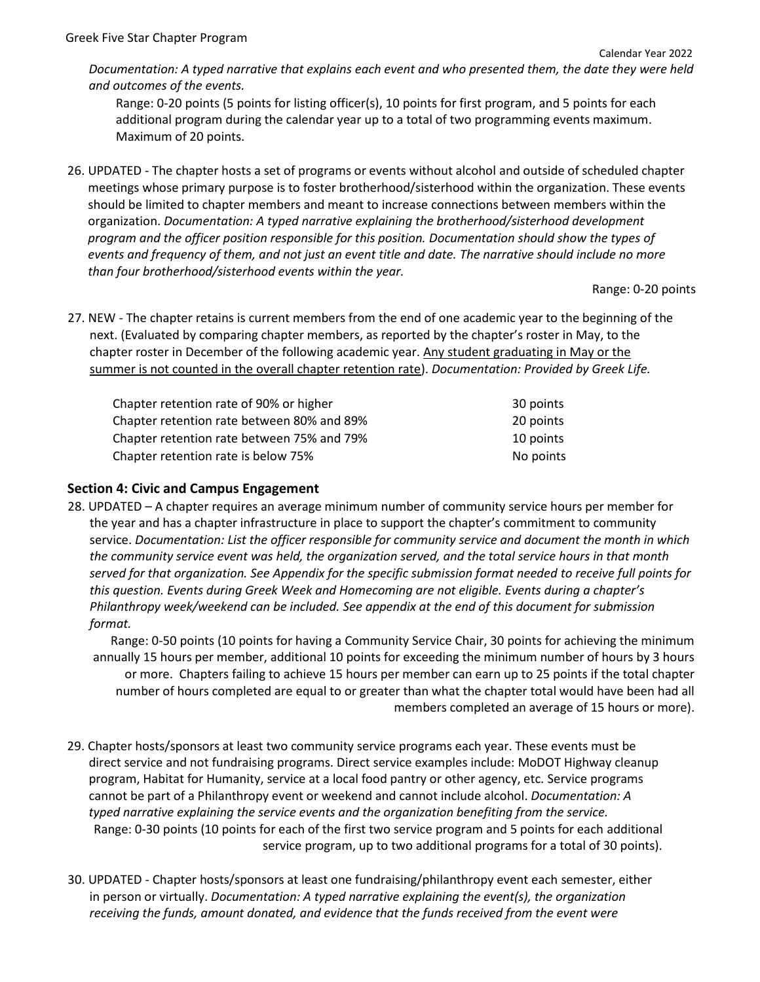*Documentation: A typed narrative that explains each event and who presented them, the date they were held and outcomes of the events.*

Range: 0-20 points (5 points for listing officer(s), 10 points for first program, and 5 points for each additional program during the calendar year up to a total of two programming events maximum. Maximum of 20 points.

26. UPDATED - The chapter hosts a set of programs or events without alcohol and outside of scheduled chapter meetings whose primary purpose is to foster brotherhood/sisterhood within the organization. These events should be limited to chapter members and meant to increase connections between members within the organization. *Documentation: A typed narrative explaining the brotherhood/sisterhood development program and the officer position responsible for this position. Documentation should show the types of events and frequency of them, and not just an event title and date. The narrative should include no more than four brotherhood/sisterhood events within the year.*

Range: 0-20 points

27. NEW - The chapter retains is current members from the end of one academic year to the beginning of the next. (Evaluated by comparing chapter members, as reported by the chapter's roster in May, to the chapter roster in December of the following academic year. Any student graduating in May or the summer is not counted in the overall chapter retention rate). *Documentation: Provided by Greek Life.* 

| Chapter retention rate of 90% or higher    | 30 points |
|--------------------------------------------|-----------|
| Chapter retention rate between 80% and 89% | 20 points |
| Chapter retention rate between 75% and 79% | 10 points |
| Chapter retention rate is below 75%        | No points |

# **Section 4: Civic and Campus Engagement**

28. UPDATED – A chapter requires an average minimum number of community service hours per member for the year and has a chapter infrastructure in place to support the chapter's commitment to community service. *Documentation: List the officer responsible for community service and document the month in which the community service event was held, the organization served, and the total service hours in that month served for that organization. See Appendix for the specific submission format needed to receive full points for this question. Events during Greek Week and Homecoming are not eligible. Events during a chapter's Philanthropy week/weekend can be included. See appendix at the end of this document for submission format.* 

Range: 0-50 points (10 points for having a Community Service Chair, 30 points for achieving the minimum annually 15 hours per member, additional 10 points for exceeding the minimum number of hours by 3 hours or more. Chapters failing to achieve 15 hours per member can earn up to 25 points if the total chapter number of hours completed are equal to or greater than what the chapter total would have been had all members completed an average of 15 hours or more).

- 29. Chapter hosts/sponsors at least two community service programs each year. These events must be direct service and not fundraising programs. Direct service examples include: MoDOT Highway cleanup program, Habitat for Humanity, service at a local food pantry or other agency, etc. Service programs cannot be part of a Philanthropy event or weekend and cannot include alcohol. *Documentation: A typed narrative explaining the service events and the organization benefiting from the service.* Range: 0-30 points (10 points for each of the first two service program and 5 points for each additional service program, up to two additional programs for a total of 30 points).
- 30. UPDATED Chapter hosts/sponsors at least one fundraising/philanthropy event each semester, either in person or virtually. *Documentation: A typed narrative explaining the event(s), the organization receiving the funds, amount donated, and evidence that the funds received from the event were*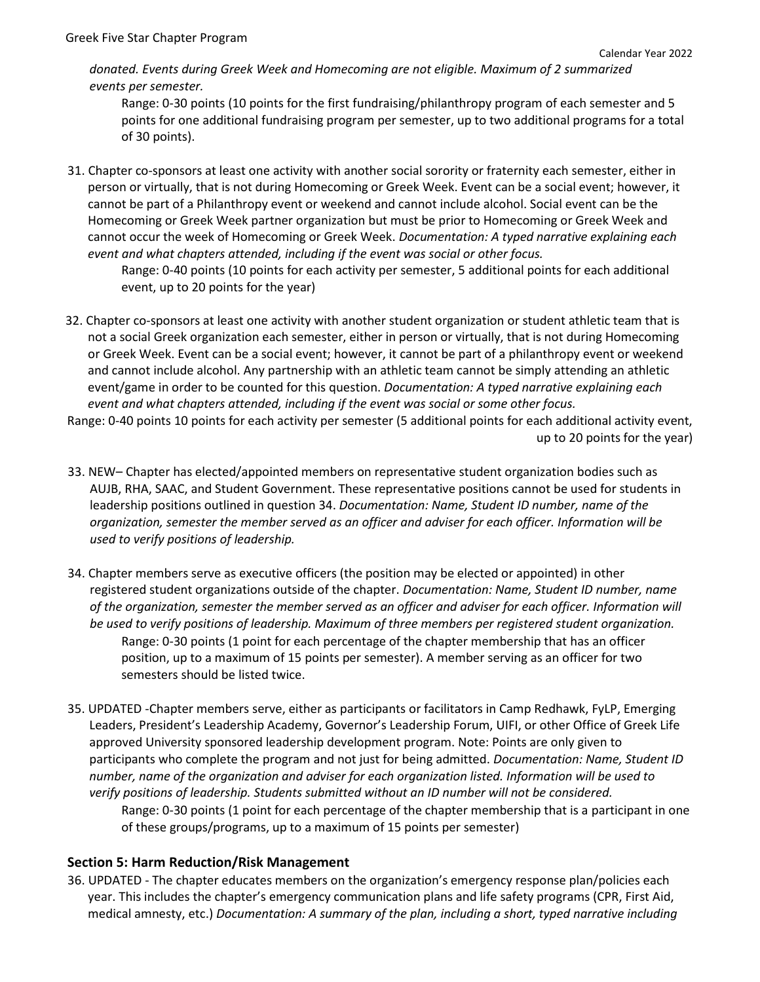*donated. Events during Greek Week and Homecoming are not eligible. Maximum of 2 summarized events per semester.*

Range: 0-30 points (10 points for the first fundraising/philanthropy program of each semester and 5 points for one additional fundraising program per semester, up to two additional programs for a total of 30 points).

31. Chapter co-sponsors at least one activity with another social sorority or fraternity each semester, either in person or virtually, that is not during Homecoming or Greek Week. Event can be a social event; however, it cannot be part of a Philanthropy event or weekend and cannot include alcohol. Social event can be the Homecoming or Greek Week partner organization but must be prior to Homecoming or Greek Week and cannot occur the week of Homecoming or Greek Week. *Documentation: A typed narrative explaining each event and what chapters attended, including if the event was social or other focus.* 

Range: 0-40 points (10 points for each activity per semester, 5 additional points for each additional event, up to 20 points for the year)

- 32. Chapter co-sponsors at least one activity with another student organization or student athletic team that is not a social Greek organization each semester, either in person or virtually, that is not during Homecoming or Greek Week. Event can be a social event; however, it cannot be part of a philanthropy event or weekend and cannot include alcohol. Any partnership with an athletic team cannot be simply attending an athletic event/game in order to be counted for this question. *Documentation: A typed narrative explaining each event and what chapters attended, including if the event was social or some other focus.*
- Range: 0-40 points 10 points for each activity per semester (5 additional points for each additional activity event, up to 20 points for the year)
- 33. NEW– Chapter has elected/appointed members on representative student organization bodies such as AUJB, RHA, SAAC, and Student Government. These representative positions cannot be used for students in leadership positions outlined in question 34. *Documentation: Name, Student ID number, name of the organization, semester the member served as an officer and adviser for each officer. Information will be used to verify positions of leadership.*
- 34. Chapter members serve as executive officers (the position may be elected or appointed) in other registered student organizations outside of the chapter. *Documentation: Name, Student ID number, name of the organization, semester the member served as an officer and adviser for each officer. Information will be used to verify positions of leadership. Maximum of three members per registered student organization.* Range: 0-30 points (1 point for each percentage of the chapter membership that has an officer position, up to a maximum of 15 points per semester). A member serving as an officer for two semesters should be listed twice.
- 35. UPDATED -Chapter members serve, either as participants or facilitators in Camp Redhawk, FyLP, Emerging Leaders, President's Leadership Academy, Governor's Leadership Forum, UIFI, or other Office of Greek Life approved University sponsored leadership development program. Note: Points are only given to participants who complete the program and not just for being admitted. *Documentation: Name, Student ID number, name of the organization and adviser for each organization listed. Information will be used to verify positions of leadership. Students submitted without an ID number will not be considered.*  Range: 0-30 points (1 point for each percentage of the chapter membership that is a participant in one

of these groups/programs, up to a maximum of 15 points per semester)

## **Section 5: Harm Reduction/Risk Management**

36. UPDATED - The chapter educates members on the organization's emergency response plan/policies each year. This includes the chapter's emergency communication plans and life safety programs (CPR, First Aid, medical amnesty, etc.) *Documentation: A summary of the plan, including a short, typed narrative including*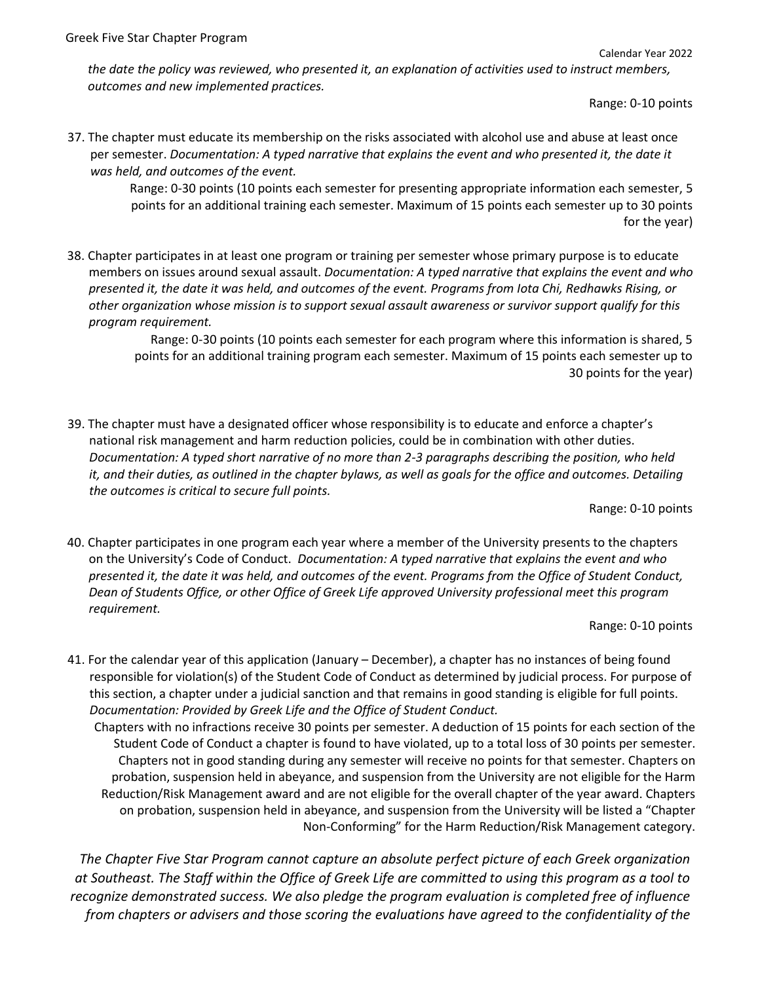Calendar Year 2022

*the date the policy was reviewed, who presented it, an explanation of activities used to instruct members, outcomes and new implemented practices.*

Range: 0-10 points

37. The chapter must educate its membership on the risks associated with alcohol use and abuse at least once per semester. *Documentation: A typed narrative that explains the event and who presented it, the date it was held, and outcomes of the event.* 

Range: 0-30 points (10 points each semester for presenting appropriate information each semester, 5 points for an additional training each semester. Maximum of 15 points each semester up to 30 points for the year)

38. Chapter participates in at least one program or training per semester whose primary purpose is to educate members on issues around sexual assault. *Documentation: A typed narrative that explains the event and who presented it, the date it was held, and outcomes of the event. Programs from Iota Chi, Redhawks Rising, or other organization whose mission is to support sexual assault awareness or survivor support qualify for this program requirement.* 

> Range: 0-30 points (10 points each semester for each program where this information is shared, 5 points for an additional training program each semester. Maximum of 15 points each semester up to 30 points for the year)

39. The chapter must have a designated officer whose responsibility is to educate and enforce a chapter's national risk management and harm reduction policies, could be in combination with other duties. *Documentation: A typed short narrative of no more than 2-3 paragraphs describing the position, who held it, and their duties, as outlined in the chapter bylaws, as well as goals for the office and outcomes. Detailing the outcomes is critical to secure full points.* 

Range: 0-10 points

40. Chapter participates in one program each year where a member of the University presents to the chapters on the University's Code of Conduct. *Documentation: A typed narrative that explains the event and who presented it, the date it was held, and outcomes of the event. Programs from the Office of Student Conduct, Dean of Students Office, or other Office of Greek Life approved University professional meet this program requirement.* 

Range: 0-10 points

41. For the calendar year of this application (January – December), a chapter has no instances of being found responsible for violation(s) of the Student Code of Conduct as determined by judicial process. For purpose of this section, a chapter under a judicial sanction and that remains in good standing is eligible for full points. *Documentation: Provided by Greek Life and the Office of Student Conduct.* 

Chapters with no infractions receive 30 points per semester. A deduction of 15 points for each section of the Student Code of Conduct a chapter is found to have violated, up to a total loss of 30 points per semester. Chapters not in good standing during any semester will receive no points for that semester. Chapters on probation, suspension held in abeyance, and suspension from the University are not eligible for the Harm Reduction/Risk Management award and are not eligible for the overall chapter of the year award. Chapters on probation, suspension held in abeyance, and suspension from the University will be listed a "Chapter Non-Conforming" for the Harm Reduction/Risk Management category.

*The Chapter Five Star Program cannot capture an absolute perfect picture of each Greek organization at Southeast. The Staff within the Office of Greek Life are committed to using this program as a tool to recognize demonstrated success. We also pledge the program evaluation is completed free of influence from chapters or advisers and those scoring the evaluations have agreed to the confidentiality of the*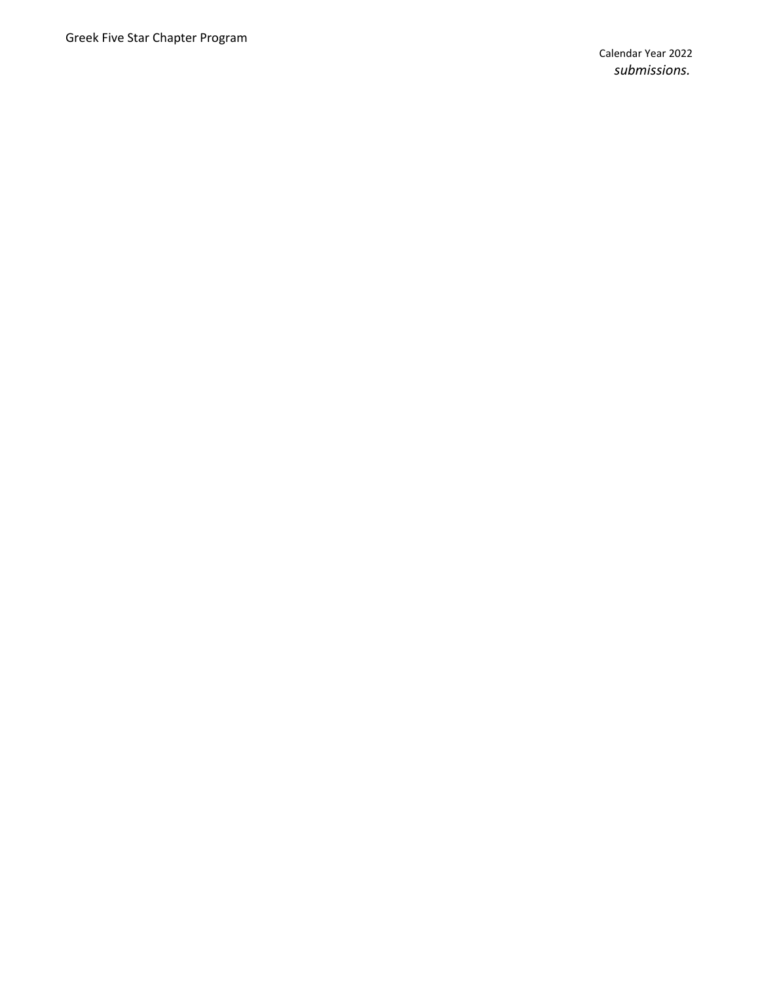Calendar Year 202 2 *submissions.*